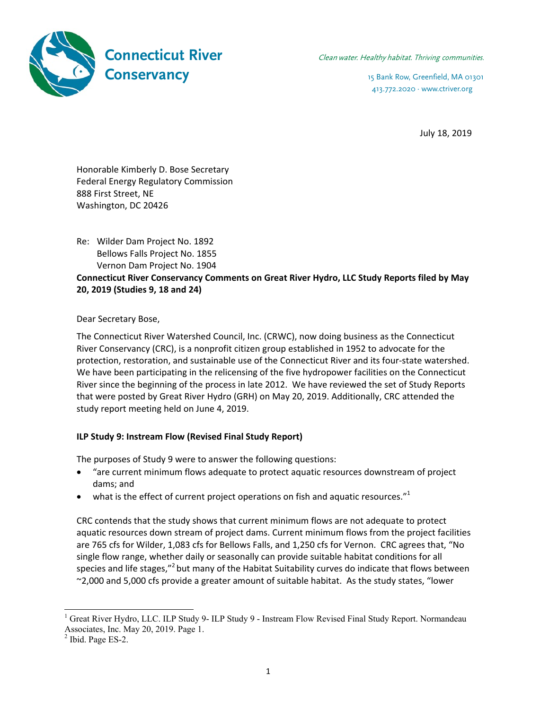

413.772.2020 · www.ctriver.org

July 18, 2019

Honorable Kimberly D. Bose Secretary Federal Energy Regulatory Commission 888 First Street, NE Washington, DC 20426

Re: Wilder Dam Project No. 1892 Bellows Falls Project No. 1855 Vernon Dam Project No. 1904

**Connecticut River Conservancy Comments on Great River Hydro, LLC Study Reports filed by May 20, 2019 (Studies 9, 18 and 24)** 

Dear Secretary Bose,

The Connecticut River Watershed Council, Inc. (CRWC), now doing business as the Connecticut River Conservancy (CRC), is a nonprofit citizen group established in 1952 to advocate for the protection, restoration, and sustainable use of the Connecticut River and its four‐state watershed. We have been participating in the relicensing of the five hydropower facilities on the Connecticut River since the beginning of the process in late 2012. We have reviewed the set of Study Reports that were posted by Great River Hydro (GRH) on May 20, 2019. Additionally, CRC attended the study report meeting held on June 4, 2019.

## **ILP Study 9: Instream Flow (Revised Final Study Report)**

The purposes of Study 9 were to answer the following questions:

- "are current minimum flows adequate to protect aquatic resources downstream of project dams; and
- $\bullet$  what is the effect of current project operations on fish and aquatic resources."<sup>1</sup>

CRC contends that the study shows that current minimum flows are not adequate to protect aquatic resources down stream of project dams. Current minimum flows from the project facilities are 765 cfs for Wilder, 1,083 cfs for Bellows Falls, and 1,250 cfs for Vernon. CRC agrees that, "No single flow range, whether daily or seasonally can provide suitable habitat conditions for all species and life stages,"<sup>2</sup> but many of the Habitat Suitability curves do indicate that flows between ~2,000 and 5,000 cfs provide a greater amount of suitable habitat. As the study states, "lower

l

<sup>&</sup>lt;sup>1</sup> Great River Hydro, LLC. ILP Study 9- ILP Study 9 - Instream Flow Revised Final Study Report. Normandeau Associates, Inc. May 20, 2019. Page 1.

 $<sup>2</sup>$  Ibid. Page ES-2.</sup>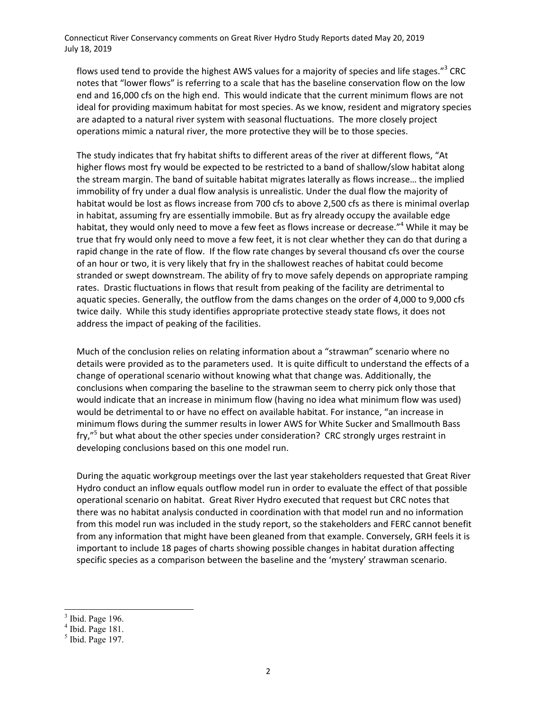Connecticut River Conservancy comments on Great River Hydro Study Reports dated May 20, 2019 July 18, 2019

flows used tend to provide the highest AWS values for a majority of species and life stages."<sup>3</sup> CRC notes that "lower flows" is referring to a scale that has the baseline conservation flow on the low end and 16,000 cfs on the high end. This would indicate that the current minimum flows are not ideal for providing maximum habitat for most species. As we know, resident and migratory species are adapted to a natural river system with seasonal fluctuations. The more closely project operations mimic a natural river, the more protective they will be to those species.

The study indicates that fry habitat shifts to different areas of the river at different flows, "At higher flows most fry would be expected to be restricted to a band of shallow/slow habitat along the stream margin. The band of suitable habitat migrates laterally as flows increase… the implied immobility of fry under a dual flow analysis is unrealistic. Under the dual flow the majority of habitat would be lost as flows increase from 700 cfs to above 2,500 cfs as there is minimal overlap in habitat, assuming fry are essentially immobile. But as fry already occupy the available edge habitat, they would only need to move a few feet as flows increase or decrease."<sup>4</sup> While it may be true that fry would only need to move a few feet, it is not clear whether they can do that during a rapid change in the rate of flow. If the flow rate changes by several thousand cfs over the course of an hour or two, it is very likely that fry in the shallowest reaches of habitat could become stranded or swept downstream. The ability of fry to move safely depends on appropriate ramping rates. Drastic fluctuations in flows that result from peaking of the facility are detrimental to aquatic species. Generally, the outflow from the dams changes on the order of 4,000 to 9,000 cfs twice daily. While this study identifies appropriate protective steady state flows, it does not address the impact of peaking of the facilities.

Much of the conclusion relies on relating information about a "strawman" scenario where no details were provided as to the parameters used. It is quite difficult to understand the effects of a change of operational scenario without knowing what that change was. Additionally, the conclusions when comparing the baseline to the strawman seem to cherry pick only those that would indicate that an increase in minimum flow (having no idea what minimum flow was used) would be detrimental to or have no effect on available habitat. For instance, "an increase in minimum flows during the summer results in lower AWS for White Sucker and Smallmouth Bass fry,"<sup>5</sup> but what about the other species under consideration? CRC strongly urges restraint in developing conclusions based on this one model run.

During the aquatic workgroup meetings over the last year stakeholders requested that Great River Hydro conduct an inflow equals outflow model run in order to evaluate the effect of that possible operational scenario on habitat. Great River Hydro executed that request but CRC notes that there was no habitat analysis conducted in coordination with that model run and no information from this model run was included in the study report, so the stakeholders and FERC cannot benefit from any information that might have been gleaned from that example. Conversely, GRH feels it is important to include 18 pages of charts showing possible changes in habitat duration affecting specific species as a comparison between the baseline and the 'mystery' strawman scenario.

l

 $3$  Ibid. Page 196.

<sup>4</sup> Ibid. Page 181.

 $<sup>5</sup>$  Ibid. Page 197.</sup>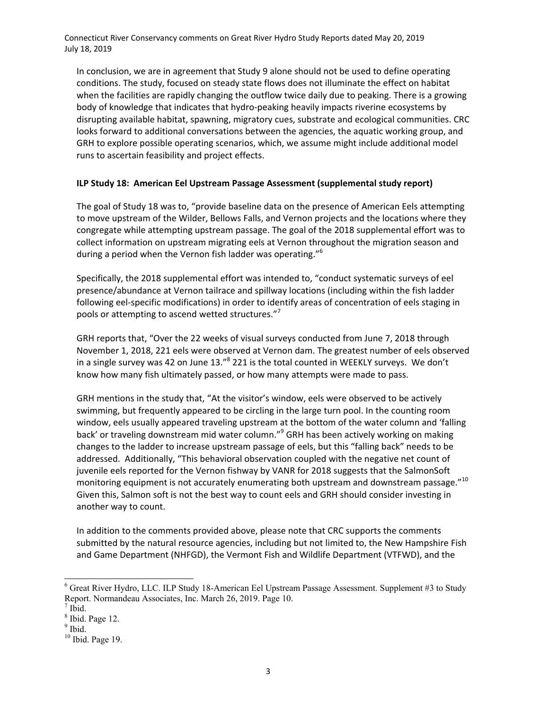Connecticut River Conservancy comments on Great River Hydro Study Reports dated May 20, 2019 July 18, 2019

In conclusion, we are in agreement that Study 9 alone should not be used to define operating conditions. The study, focused on steady state flows does not illuminate the effect on habitat when the facilities are rapidly changing the outflow twice daily due to peaking. There is a growing body of knowledge that indicates that hydro-peaking heavily impacts riverine ecosystems by disrupting available habitat, spawning, migratory cues, substrate and ecological communities. CRC looks forward to additional conversations between the agencies, the aquatic working group, and GRH to explore possible operating scenarios, which, we assume might include additional model runs to ascertain feasibility and project effects.

## **ILP Study 18: American Eel Upstream Passage Assessment (supplemental study report)**

The goal of Study 18 was to, "provide baseline data on the presence of American Eels attempting to move upstream of the Wilder, Bellows Falls, and Vernon projects and the locations where they congregate while attempting upstream passage. The goal of the 2018 supplemental effort was to collect information on upstream migrating eels at Vernon throughout the migration season and during a period when the Vernon fish ladder was operating."<sup>6</sup>

Specifically, the 2018 supplemental effort was intended to, "conduct systematic surveys of eel presence/abundance at Vernon tailrace and spillway locations (including within the fish ladder following eel‐specific modifications) in order to identify areas of concentration of eels staging in pools or attempting to ascend wetted structures."<sup>7</sup>

GRH reports that, "Over the 22 weeks of visual surveys conducted from June 7, 2018 through November 1, 2018, 221 eels were observed at Vernon dam. The greatest number of eels observed in a single survey was 42 on June 13."<sup>8</sup> 221 is the total counted in WEEKLY surveys. We don't know how many fish ultimately passed, or how many attempts were made to pass.

GRH mentions in the study that, "At the visitor's window, eels were observed to be actively swimming, but frequently appeared to be circling in the large turn pool. In the counting room window, eels usually appeared traveling upstream at the bottom of the water column and 'falling back' or traveling downstream mid water column."<sup>9</sup> GRH has been actively working on making changes to the ladder to increase upstream passage of eels, but this "falling back" needs to be addressed. Additionally, "This behavioral observation coupled with the negative net count of juvenile eels reported for the Vernon fishway by VANR for 2018 suggests that the SalmonSoft monitoring equipment is not accurately enumerating both upstream and downstream passage."<sup>10</sup> Given this, Salmon soft is not the best way to count eels and GRH should consider investing in another way to count.

In addition to the comments provided above, please note that CRC supports the comments submitted by the natural resource agencies, including but not limited to, the New Hampshire Fish and Game Department (NHFGD), the Vermont Fish and Wildlife Department (VTFWD), and the

l

<sup>&</sup>lt;sup>6</sup> Great River Hydro, LLC. ILP Study 18-American Eel Upstream Passage Assessment. Supplement #3 to Study Report. Normandeau Associates, Inc. March 26, 2019. Page 10.

 $^7$  Ibid.

 $8$  Ibid. Page 12.

<sup>&</sup>lt;sup>9</sup> Ibid.

 $10$  Ibid. Page 19.